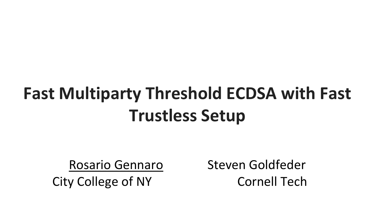# **Fast Multiparty Threshold ECDSA with Fast Trustless Setup**

City College of NY Cornell Tech

Rosario Gennaro Steven Goldfeder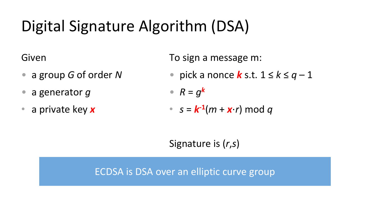# Digital Signature Algorithm (DSA)

#### Given

- a group *G* of order *N*
- a generator *g*
- a private key *x*

To sign a message m:

• pick a nonce *k* s.t. 1 ≤ *k* ≤ *q* – 1

$$
R = g^k
$$

$$
s = k^{-1}(m + x \cdot r) \mod q
$$

Signature is (*r*,*s*)

ECDSA is DSA over an elliptic curve group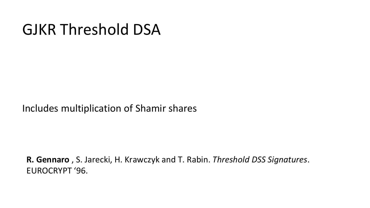## GJKR Threshold DSA

Includes multiplication of Shamir shares

**R. Gennaro** , S. Jarecki, H. Krawczyk and T. Rabin. *Threshold DSS Signatures*. EUROCRYPT '96.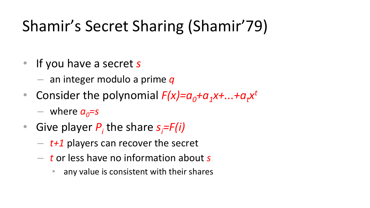# Shamir's Secret Sharing (Shamir'79)

- If you have a secret *s*
	- an integer modulo a prime *q*
- Consider the polynomial  $F(x)=a_0+a_1x+...+a_tx^t$ 
	- $-$  where  $a_0$ =s
- Give player  $P_i$  the share  $s_i = F(i)$ 
	- *t+1* players can recover the secret
	- *t* or less have no information about *s*
		- any value is consistent with their shares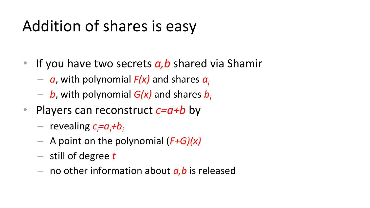# Addition of shares is easy

- If you have two secrets *a,b* shared via Shamir
	- *a*, with polynomial *F(x)* and shares *a<sup>i</sup>*
	- *b*, with polynomial *G(x)* and shares *b<sup>i</sup>*
- Players can reconstruct  $c=a+b$  by
	- revealing *ci=ai+b<sup>i</sup>*
	- A point on the polynomial (*F+G)(x)*
	- still of degree *t*
	- no other information about *a,b* is released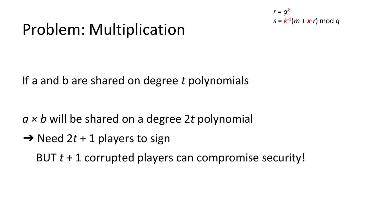

## Problem: Multiplication

If a and b are shared on degree *t* polynomials

*a × b* will be shared on a degree 2*t* polynomial

➔ Need 2*t* + 1 players to sign

BUT *t* + 1 corrupted players can compromise security!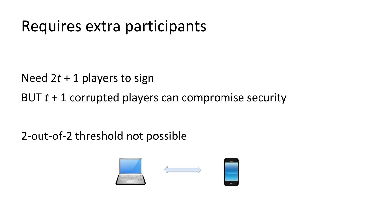## Requires extra participants

Need 2*t* + 1 players to sign

BUT *t* + 1 corrupted players can compromise security

#### 2-out-of-2 threshold not possible

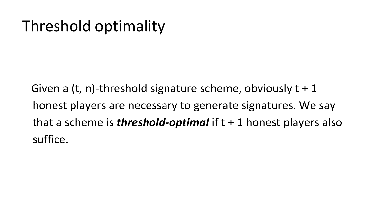## Threshold optimality

Given a  $(t, n)$ -threshold signature scheme, obviously  $t + 1$ honest players are necessary to generate signatures. We say that a scheme is *threshold-optimal* if t + 1 honest players also suffice.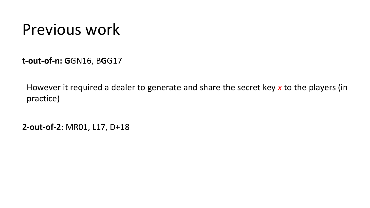## Previous work

**t-out-of-n: G**GN16, B**G**G17

However it required a dealer to generate and share the secret key *x* to the players (in practice)

**2-out-of-2**: MR01, L17, D+18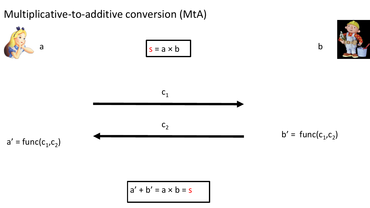#### Multiplicative-to-additive conversion (MtA)

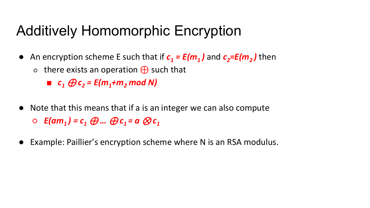## Additively Homomorphic Encryption

- An encryption scheme E such that if  $c_1 = E(m_1)$  and  $c_2 = E(m_2)$  then
	- $\circ$  there exists an operation  $\bigoplus$  such that

 $\bullet$  *c*<sub>1</sub>  $\oplus$  *c*<sub>2</sub> = E(m<sub>1</sub>+m<sub>2</sub> mod N)

- Note that this means that if a is an integer we can also compute  $O$   $E(am_1) = c_1 \oplus ... \oplus c_1 = a \otimes c_1$
- Example: Paillier's encryption scheme where N is an RSA modulus.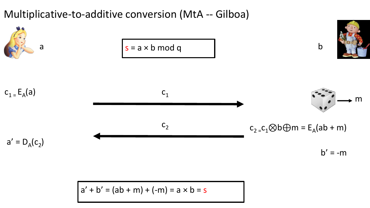Multiplicative-to-additive conversion (MtA -- Gilboa)



$$
a' + b' = (ab + m) + (-m) = a \times b = s
$$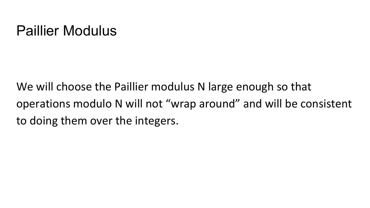### Paillier Modulus

We will choose the Paillier modulus N large enough so that operations modulo N will not "wrap around" and will be consistent to doing them over the integers.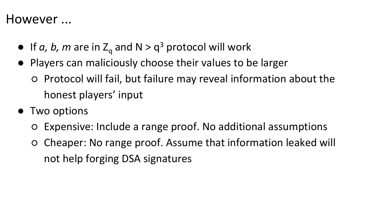#### However ...

- If *a*, *b*, *m* are in  $Z_q$  and  $N > q^3$  protocol will work
- Players can maliciously choose their values to be larger ○ Protocol will fail, but failure may reveal information about the
	- honest players' input
- Two options
	- Expensive: Include a range proof. No additional assumptions
	- Cheaper: No range proof. Assume that information leaked will not help forging DSA signatures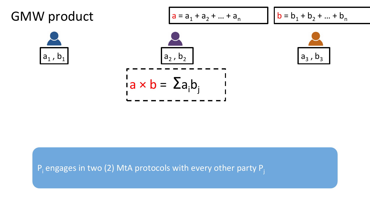### GMW product

$$
\begin{array}{c}\n\bullet \\
\hline\na_1, b_1\n\end{array}
$$

$$
a = a_1 + a_2 + ... + a_n
$$

$$
b = b_1 + b_2 + ... + b_n
$$





#### $P_i$  engages in two (2) MtA protocols with every other party  $P_i$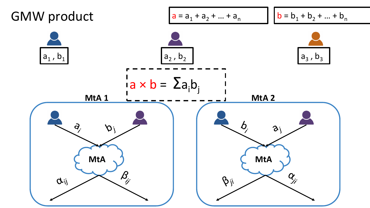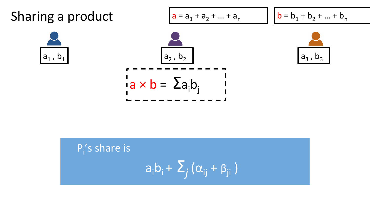### Sharing a product

$$
a = a_1 + a_2 + ... + a_n
$$

$$
b = b_1 + b_2 + ... + b_n
$$







$$
\begin{array}{c}\n\bullet \\
a_3, b_3\n\end{array}
$$

P<sub>i</sub>'s share is  $a_i b_i + \sum_j (\alpha_{ij} + \beta_{ji})$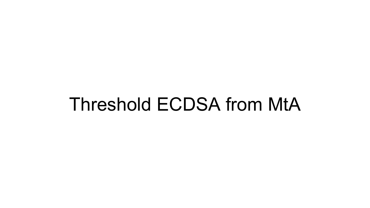# Threshold ECDSA from MtA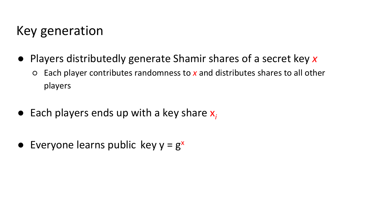### Key generation

- Players distributedly generate Shamir shares of a secret key *x*
	- Each player contributes randomness to *x* and distributes shares to all other players
- Each players ends up with a key share  $x_i$
- Everyone learns public key  $y = g^x$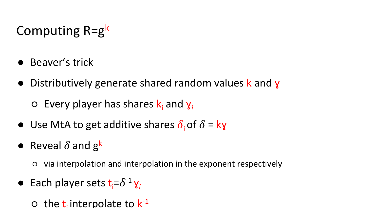## Computing  $R=g^k$

- Beaver's trick
- Distributively generate shared random values k and y

o Every player has shares  $\mathsf{k}_{\mathsf{i}}$  and  $\mathsf{y}_{\mathsf{i}}$ 

- Use MtA to get additive shares  $\delta_i$  of  $\delta$  = ky
- Reveal  $\delta$  and  $g^k$

○ via interpolation and interpolation in the exponent respectively

- Each player sets  $t_i = \delta^{-1} \gamma_i$ 
	- $\circ$  the t<sub>i</sub> interpolate to  $k^{-1}$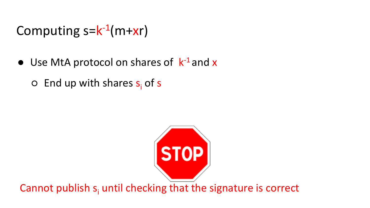### Computing s=k<sup>-1</sup>(m+xr)

- $\bullet$  Use MtA protocol on shares of  $k^{-1}$  and x
	- $\circ$  End up with shares  $s_i$  of s



Cannot publish  $s_i$  until checking that the signature is correct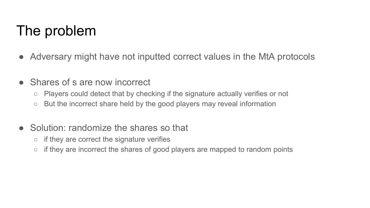## The problem

- Adversary might have not inputted correct values in the MtA protocols
- Shares of s are now incorrect
	- Players could detect that by checking if the signature actually verifies or not
	- But the incorrect share held by the good players may reveal information
- Solution: randomize the shares so that
	- $\circ$  if they are correct the signature verifies
	- $\circ$  if they are incorrect the shares of good players are mapped to random points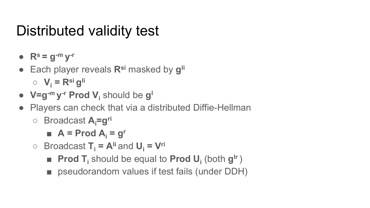## Distributed validity test

- $\bullet$   $R^s = g^{-m} y^{-r}$
- Each player reveals **Rsi** masked by **gli**

 $\circ$   $V_i = R^{si}$ **gli** 

- **V=g-m y -r Prod V<sup>i</sup>** should be **g<sup>l</sup>**
- Players can check that via a distributed Diffie-Hellman
	- Broadcast **Ai=gri** 
		- $\blacksquare$  **A** = Prod  $A_i$  = g<sup>r</sup>
	- $\circ$  Broadcast **T**<sub>i</sub> =  $\mathbf{A}^{I}$  and  $\mathbf{U}_{i}$  =  $\mathbf{V}^{r}$ 
		- **Prod T**<sub>**i**</sub> should be equal to **Prod U**<sub>i</sub> (both g<sup>tr</sup>)
		- pseudorandom values if test fails (under DDH)